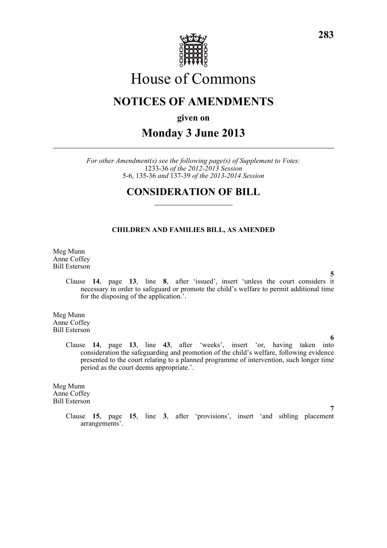

# House of Commons

# **NOTICES OF AMENDMENTS**

**given on**

## **Monday 3 June 2013**

*For other Amendment(s) see the following page(s) of Supplement to Votes:* 1233-36 *of the 2012-2013 Session* 5-6, 135-36 *and* 137-39 *of the 2013-2014 Session*

### **CONSIDERATION OF BILL**

#### **CHILDREN AND FAMILIES BILL, AS AMENDED**

Meg Munn Anne Coffey Bill Esterson

**5** Clause **14**, page **13**, line **8**, after 'issued', insert 'unless the court considers it necessary in order to safeguard or promote the child's welfare to permit additional time for the disposing of the application.'.

Meg Munn Anne Coffey Bill Esterson

> Clause **14**, page **13**, line **43**, after 'weeks', insert 'or, having taken into consideration the safeguarding and promotion of the child's welfare, following evidence presented to the court relating to a planned programme of intervention, such longer time period as the court deems appropriate.'.

Meg Munn Anne Coffey Bill Esterson

> Clause **15**, page **15**, line **3**, after 'provisions', insert 'and sibling placement arrangements'.

**6**

**7**